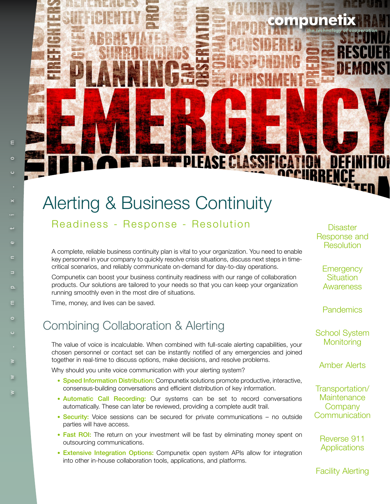# Alerting & Business Continuity

Readiness - Response - Resolution Disaster

A complete, reliable business continuity plan is vital to your organization. You need to enable key personnel in your company to quickly resolve crisis situations, discuss next steps in timecritical scenarios, and reliably communicate on-demand for day-to-day operations.

**PPLEASE CLASSIE** 

Compunetix can boost your business continuity readiness with our range of collaboration products. Our solutions are tailored to your needs so that you can keep your organization running smoothly even in the most dire of situations.

Time, money, and lives can be saved.

## Combining Collaboration & Alerting

The value of voice is incalculable. When combined with full-scale alerting capabilities, your chosen personnel or contact set can be instantly notified of any emergencies and joined together in real-time to discuss options, make decisions, and resolve problems.

Why should you unite voice communication with your alerting system?

- Speed Information Distribution: Compunetix solutions promote productive, interactive, consensus-building conversations and efficient distribution of key information.
- Automatic Call Recording: Our systems can be set to record conversations automatically. These can later be reviewed, providing a complete audit trail.
- Security: Voice sessions can be secured for private communications no outside parties will have access.
- Fast ROI: The return on your investment will be fast by eliminating money spent on outsourcing communications.
- Extensive Integration Options: Compunetix open system APIs allow for integration into other in-house collaboration tools, applications, and platforms.

Response and **Resolution** 

mpunet

**Emergency Situation** Awareness

**Pandemics** 

School System **Monitoring** 

Amber Alerts

Transportation/ **Maintenance Company Communication** 

Reverse 911 **Applications** 

Facility Alerting

 $\equiv$